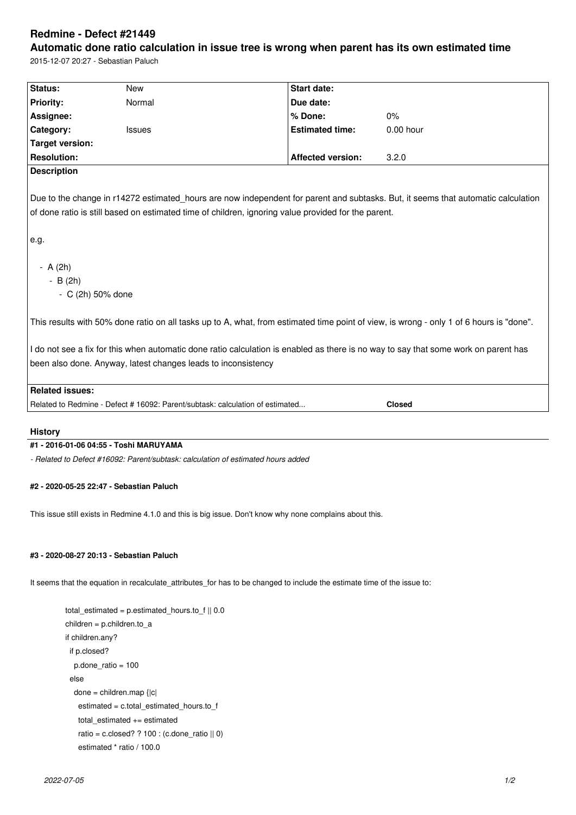# **Redmine - Defect #21449**

**Automatic done ratio calculation in issue tree is wrong when parent has its own estimated time** 2015-12-07 20:27 - Sebastian Paluch

| Status:                                                                                                                                 | New                                                                           | <b>Start date:</b>       |               |
|-----------------------------------------------------------------------------------------------------------------------------------------|-------------------------------------------------------------------------------|--------------------------|---------------|
| <b>Priority:</b>                                                                                                                        | Normal                                                                        | Due date:                |               |
| Assignee:                                                                                                                               |                                                                               | % Done:                  | 0%            |
| Category:                                                                                                                               | <b>Issues</b>                                                                 | <b>Estimated time:</b>   | $0.00$ hour   |
| <b>Target version:</b>                                                                                                                  |                                                                               |                          |               |
| <b>Resolution:</b>                                                                                                                      |                                                                               | <b>Affected version:</b> | 3.2.0         |
| <b>Description</b>                                                                                                                      |                                                                               |                          |               |
|                                                                                                                                         |                                                                               |                          |               |
| Due to the change in r14272 estimated hours are now independent for parent and subtasks. But, it seems that automatic calculation       |                                                                               |                          |               |
| of done ratio is still based on estimated time of children, ignoring value provided for the parent.                                     |                                                                               |                          |               |
|                                                                                                                                         |                                                                               |                          |               |
| e.g.                                                                                                                                    |                                                                               |                          |               |
|                                                                                                                                         |                                                                               |                          |               |
| $- A (2h)$                                                                                                                              |                                                                               |                          |               |
| $-B(2h)$                                                                                                                                |                                                                               |                          |               |
| - C (2h) 50% done                                                                                                                       |                                                                               |                          |               |
|                                                                                                                                         |                                                                               |                          |               |
| This results with 50% done ratio on all tasks up to A, what, from estimated time point of view, is wrong - only 1 of 6 hours is "done". |                                                                               |                          |               |
|                                                                                                                                         |                                                                               |                          |               |
| I do not see a fix for this when automatic done ratio calculation is enabled as there is no way to say that some work on parent has     |                                                                               |                          |               |
|                                                                                                                                         |                                                                               |                          |               |
| been also done. Anyway, latest changes leads to inconsistency                                                                           |                                                                               |                          |               |
|                                                                                                                                         |                                                                               |                          |               |
| <b>Related issues:</b>                                                                                                                  |                                                                               |                          |               |
|                                                                                                                                         | Related to Redmine - Defect # 16092: Parent/subtask: calculation of estimated |                          | <b>Closed</b> |
|                                                                                                                                         |                                                                               |                          |               |

### **History**

### **#1 - 2016-01-06 04:55 - Toshi MARUYAMA**

*- Related to Defect #16092: Parent/subtask: calculation of estimated hours added*

#### **#2 - 2020-05-25 22:47 - Sebastian Paluch**

This issue still exists in Redmine 4.1.0 and this is big issue. Don't know why none complains about this.

## **#3 - 2020-08-27 20:13 - Sebastian Paluch**

It seems that the equation in recalculate\_attributes\_for has to be changed to include the estimate time of the issue to:

```
 total_estimated = p.estimated_hours.to_f || 0.0
children = p.children.to_a
if children.any?
 if p.closed?
  p.done_ratio = 100
 else
  done = children.map {|c|
  estimated = c.total estimated hours.to f
   total_estimated += estimated
  ratio = c.closed? ? 100 : (c.done_ratio ||0\rangle estimated * ratio / 100.0
```